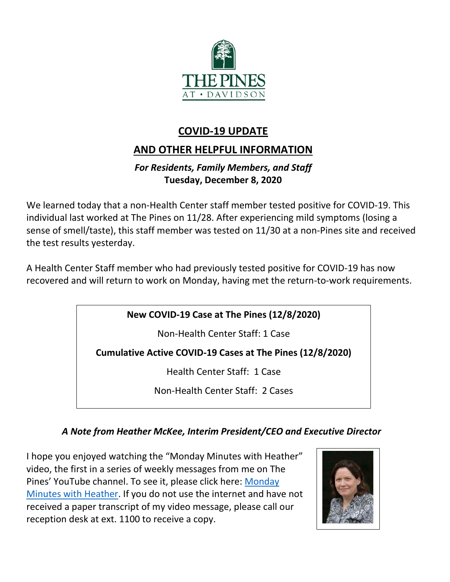

## **COVID-19 UPDATE**

# **AND OTHER HELPFUL INFORMATION**

### *For Residents, Family Members, and Staff* **Tuesday, December 8, 2020**

We learned today that a non-Health Center staff member tested positive for COVID-19. This individual last worked at The Pines on 11/28. After experiencing mild symptoms (losing a sense of smell/taste), this staff member was tested on 11/30 at a non-Pines site and received the test results yesterday.

A Health Center Staff member who had previously tested positive for COVID-19 has now recovered and will return to work on Monday, having met the return-to-work requirements.

## **New COVID-19 Case at The Pines (12/8/2020)**

Non-Health Center Staff: 1 Case

**Cumulative Active COVID-19 Cases at The Pines (12/8/2020)**

Health Center Staff: 1 Case

Non-Health Center Staff: 2 Cases

## *A Note from Heather McKee, Interim President/CEO and Executive Director*

I hope you enjoyed watching the "Monday Minutes with Heather" video, the first in a series of weekly messages from me on The Pines' YouTube channel. To see it, please click here: [Monday](https://youtu.be/S4KjYskcBhM)  [Minutes with Heather.](https://youtu.be/S4KjYskcBhM) If you do not use the internet and have not received a paper transcript of my video message, please call our reception desk at ext. 1100 to receive a copy.

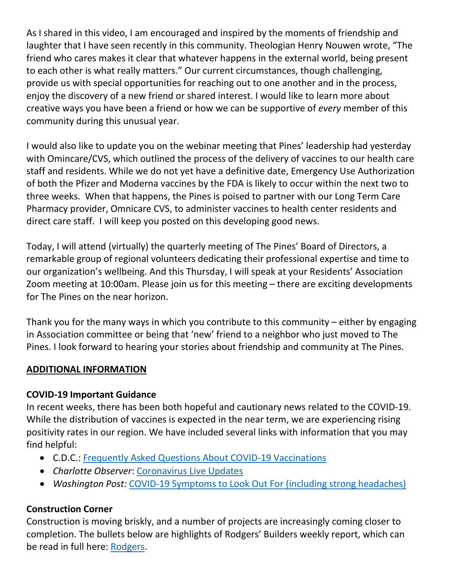As I shared in this video, I am encouraged and inspired by the moments of friendship and laughter that I have seen recently in this community. Theologian Henry Nouwen wrote, "The friend who cares makes it clear that whatever happens in the external world, being present to each other is what really matters." Our current circumstances, though challenging, provide us with special opportunities for reaching out to one another and in the process, enjoy the discovery of a new friend or shared interest. I would like to learn more about creative ways you have been a friend or how we can be supportive of *every* member of this community during this unusual year.

I would also like to update you on the webinar meeting that Pines' leadership had yesterday with Omincare/CVS, which outlined the process of the delivery of vaccines to our health care staff and residents. While we do not yet have a definitive date, Emergency Use Authorization of both the Pfizer and Moderna vaccines by the FDA is likely to occur within the next two to three weeks. When that happens, the Pines is poised to partner with our Long Term Care Pharmacy provider, Omnicare CVS, to administer vaccines to health center residents and direct care staff. I will keep you posted on this developing good news.

Today, I will attend (virtually) the quarterly meeting of The Pines' Board of Directors, a remarkable group of regional volunteers dedicating their professional expertise and time to our organization's wellbeing. And this Thursday, I will speak at your Residents' Association Zoom meeting at 10:00am. Please join us for this meeting – there are exciting developments for The Pines on the near horizon.

Thank you for the many ways in which you contribute to this community – either by engaging in Association committee or being that 'new' friend to a neighbor who just moved to The Pines. I look forward to hearing your stories about friendship and community at The Pines.

#### **ADDITIONAL INFORMATION**

#### **COVID-19 Important Guidance**

In recent weeks, there has been both hopeful and cautionary news related to the COVID-19. While the distribution of vaccines is expected in the near term, we are experiencing rising positivity rates in our region. We have included several links with information that you may find helpful:

- C.D.C.: [Frequently Asked Questions About COVID-19 Vaccinations](https://www.cdc.gov/coronavirus/2019-ncov/vaccines/faq.html)
- *Charlotte Observer*: [Coronavirus Live Updates](https://www.charlotteobserver.com/news/coronavirus/article247683000.html)
- *Washington Post:* [COVID-19 Symptoms to Look Out For](https://www.washingtonpost.com/health/2020/12/02/covid-symptoms/) (including strong headaches)

#### **Construction Corner**

Construction is moving briskly, and a number of projects are increasingly coming closer to completion. The bullets below are highlights of Rodgers' Builders weekly report, which can be read in full here: [Rodgers.](https://www.mycommunity-center.com/filephotos/463/2020-12-03%20Weekly%20Update.pdf)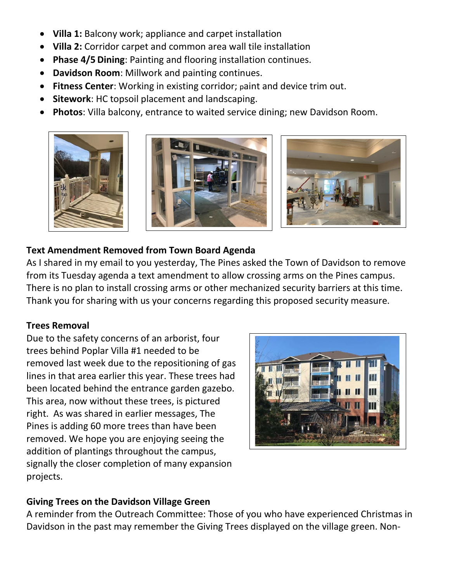- **Villa 1:** Balcony work; appliance and carpet installation
- **Villa 2:** Corridor carpet and common area wall tile installation
- **Phase 4/5 Dining**: Painting and flooring installation continues.
- **Davidson Room**: Millwork and painting continues.
- **Fitness Center**: Working in existing corridor; paint and device trim out.
- **Sitework**: HC topsoil placement and landscaping.
- **Photos**: Villa balcony, entrance to waited service dining; new Davidson Room.



### **Text Amendment Removed from Town Board Agenda**

As I shared in my email to you yesterday, The Pines asked the Town of Davidson to remove from its Tuesday agenda a text amendment to allow crossing arms on the Pines campus. There is no plan to install crossing arms or other mechanized security barriers at this time. Thank you for sharing with us your concerns regarding this proposed security measure.

#### **Trees Removal**

Due to the safety concerns of an arborist, four trees behind Poplar Villa #1 needed to be removed last week due to the repositioning of gas lines in that area earlier this year. These trees had been located behind the entrance garden gazebo. This area, now without these trees, is pictured right. As was shared in earlier messages, The Pines is adding 60 more trees than have been removed. We hope you are enjoying seeing the addition of plantings throughout the campus, signally the closer completion of many expansion projects.



#### **Giving Trees on the Davidson Village Green**

A reminder from the Outreach Committee: Those of you who have experienced Christmas in Davidson in the past may remember the Giving Trees displayed on the village green. Non